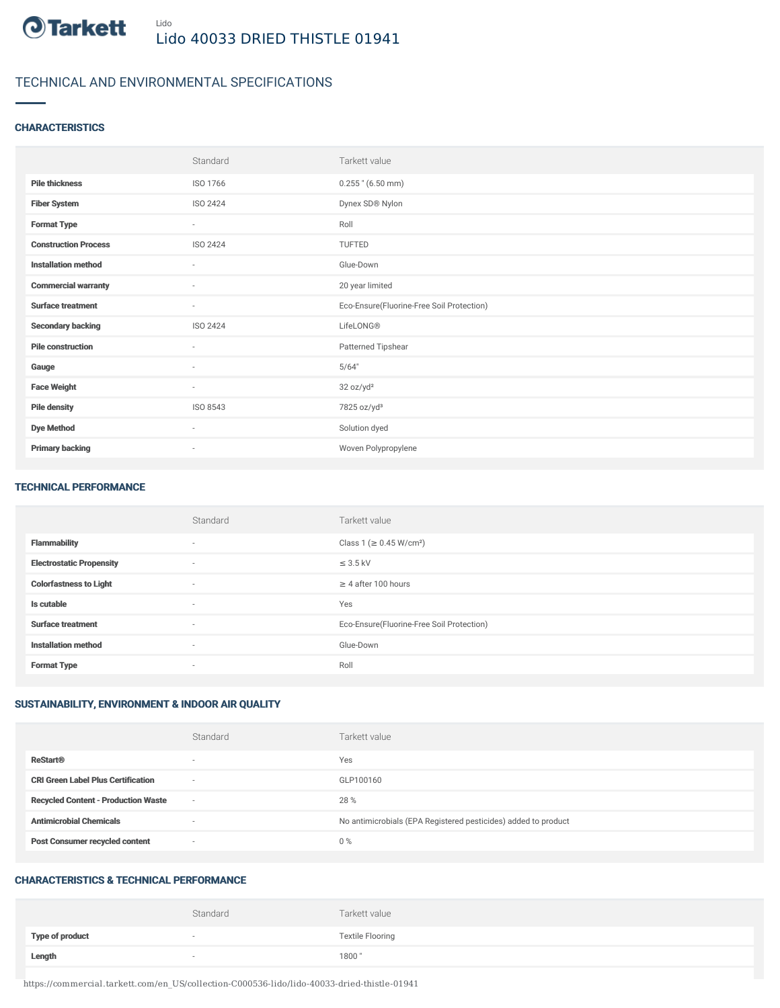

## TECHNICAL AND ENVIRONMENTAL SPECIFICATIONS

## **CHARACTERISTICS**

|                             | Standard                 | Tarkett value                             |
|-----------------------------|--------------------------|-------------------------------------------|
| <b>Pile thickness</b>       | ISO 1766                 | $0.255$ " (6.50 mm)                       |
| <b>Fiber System</b>         | ISO 2424                 | Dynex SD® Nylon                           |
| <b>Format Type</b>          | $\sim$                   | Roll                                      |
| <b>Construction Process</b> | ISO 2424                 | TUFTED                                    |
| <b>Installation method</b>  | ×                        | Glue-Down                                 |
| <b>Commercial warranty</b>  | $\overline{\phantom{a}}$ | 20 year limited                           |
| <b>Surface treatment</b>    | ٠                        | Eco-Ensure(Fluorine-Free Soil Protection) |
| <b>Secondary backing</b>    | ISO 2424                 | LifeLONG®                                 |
| <b>Pile construction</b>    | $\sim$                   | Patterned Tipshear                        |
| Gauge                       | $\overline{\phantom{a}}$ | 5/64"                                     |
| <b>Face Weight</b>          | $\sim$                   | 32 oz/yd <sup>2</sup>                     |
| <b>Pile density</b>         | ISO 8543                 | 7825 oz/yd <sup>3</sup>                   |
| <b>Dye Method</b>           | $\sim$                   | Solution dyed                             |
| <b>Primary backing</b>      | ٠                        | Woven Polypropylene                       |

#### TECHNICAL PERFORMANCE

|                                 | Standard                 | Tarkett value                             |
|---------------------------------|--------------------------|-------------------------------------------|
| <b>Flammability</b>             | $\overline{\phantom{a}}$ | Class 1 (≥ 0.45 W/cm <sup>2</sup> )       |
| <b>Electrostatic Propensity</b> | $\overline{\phantom{a}}$ | $\leq$ 3.5 kV                             |
| <b>Colorfastness to Light</b>   | $\overline{\phantom{a}}$ | $\geq$ 4 after 100 hours                  |
| Is cutable                      | $\sim$                   | Yes                                       |
| <b>Surface treatment</b>        | $\sim$                   | Eco-Ensure(Fluorine-Free Soil Protection) |
| <b>Installation method</b>      | $\sim$                   | Glue-Down                                 |
| <b>Format Type</b>              | $\sim$                   | Roll                                      |

## SUSTAINABILITY, ENVIRONMENT & INDOOR AIR QUALITY

|                                            | Standard                 | Tarkett value                                                  |
|--------------------------------------------|--------------------------|----------------------------------------------------------------|
| <b>ReStart®</b>                            | $\overline{\phantom{a}}$ | Yes                                                            |
| <b>CRI Green Label Plus Certification</b>  | $\overline{\phantom{a}}$ | GLP100160                                                      |
| <b>Recycled Content - Production Waste</b> | $\overline{\phantom{a}}$ | 28 %                                                           |
| <b>Antimicrobial Chemicals</b>             | -                        | No antimicrobials (EPA Registered pesticides) added to product |
| <b>Post Consumer recycled content</b>      | $\overline{\phantom{a}}$ | $0\%$                                                          |

#### CHARACTERISTICS & TECHNICAL PERFORMANCE

|                        | Standard                 | Tarkett value           |
|------------------------|--------------------------|-------------------------|
| <b>Type of product</b> | $\overline{\phantom{a}}$ | <b>Textile Flooring</b> |
| Length                 |                          | 1800"                   |

https://commercial.tarkett.com/en\_US/collection-C000536-lido/lido-40033-dried-thistle-01941